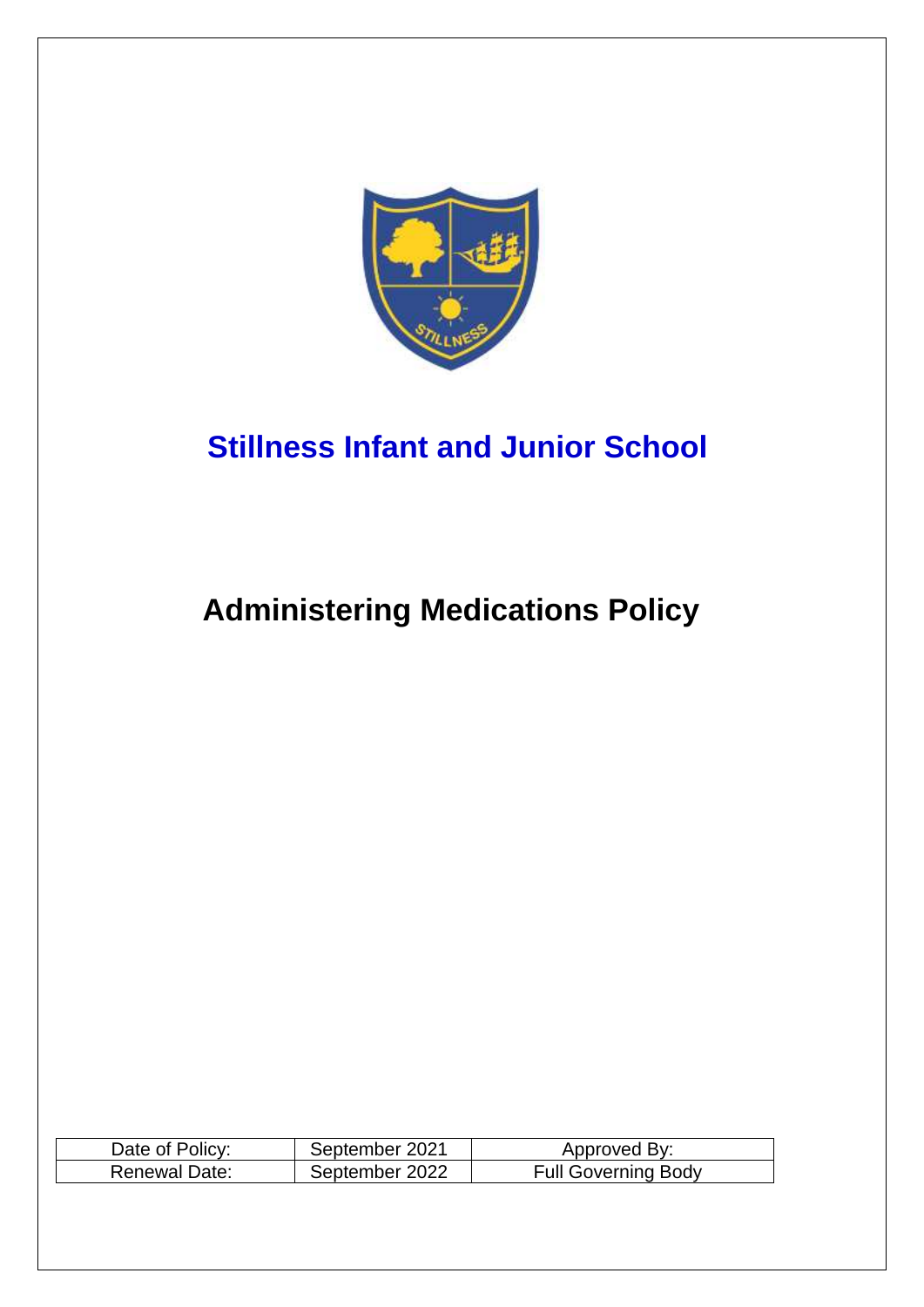

# **Stillness Infant and Junior School**

# **Administering Medications Policy**

| Date of Policy:      | September 2021 | Approved By:               |
|----------------------|----------------|----------------------------|
| <b>Renewal Date:</b> | September 2022 | <b>Full Governing Body</b> |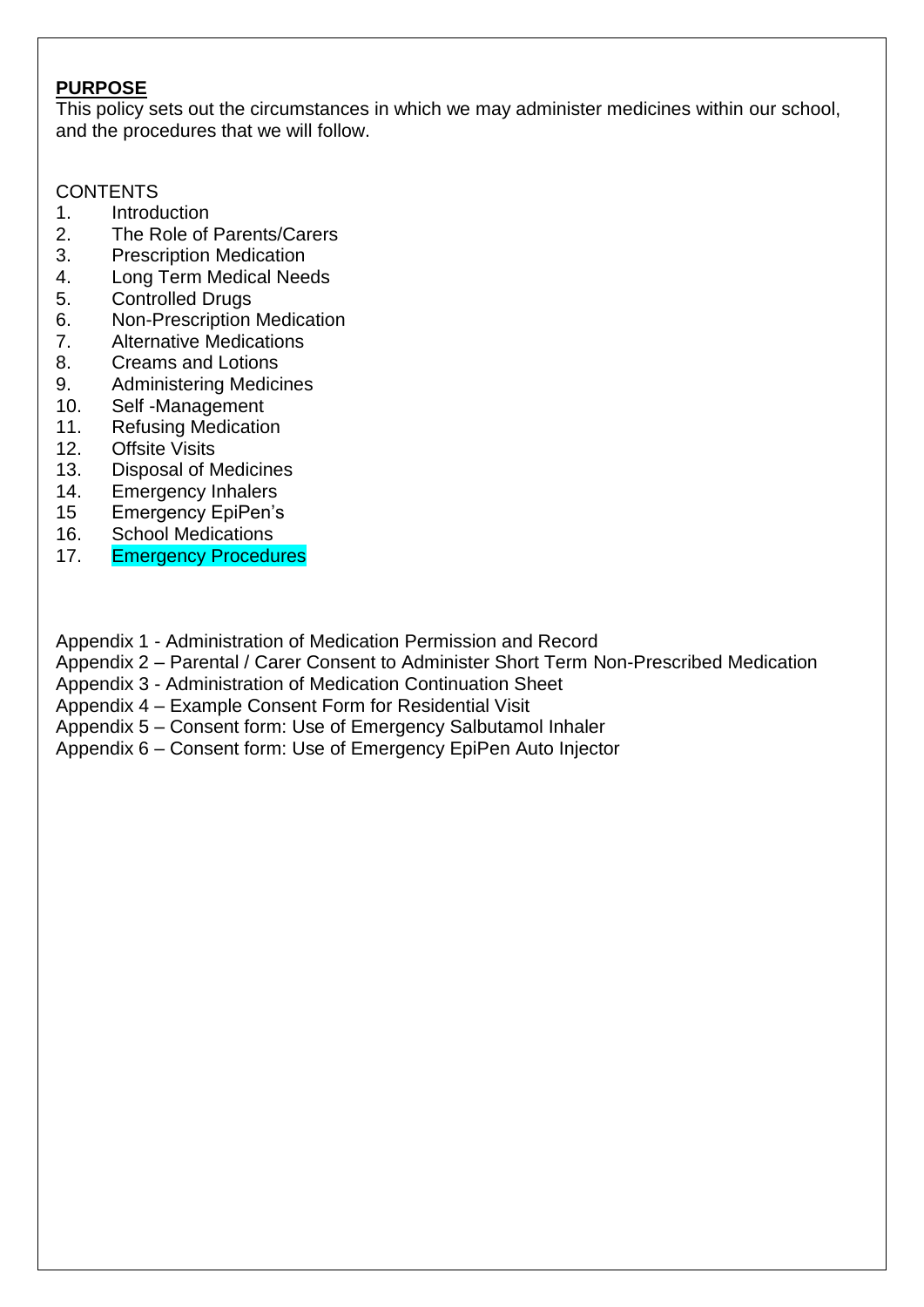## **PURPOSE**

This policy sets out the circumstances in which we may administer medicines within our school, and the procedures that we will follow.

### **CONTENTS**

- 1. Introduction
- 2. The Role of Parents/Carers
- 3. Prescription Medication
- 4. Long Term Medical Needs
- 5. Controlled Drugs
- 6. Non-Prescription Medication
- 7. Alternative Medications
- 8. Creams and Lotions
- 9. Administering Medicines
- 10. Self -Management
- 11. Refusing Medication
- 12. Offsite Visits
- 13. Disposal of Medicines
- 14. Emergency Inhalers
- 15 Emergency EpiPen's
- 16. School Medications
- 17. Emergency Procedures
- Appendix 1 Administration of Medication Permission and Record
- Appendix 2 Parental / Carer Consent to Administer Short Term Non-Prescribed Medication
- Appendix 3 Administration of Medication Continuation Sheet
- Appendix 4 Example Consent Form for Residential Visit
- Appendix 5 Consent form: Use of Emergency Salbutamol Inhaler
- Appendix 6 Consent form: Use of Emergency EpiPen Auto Injector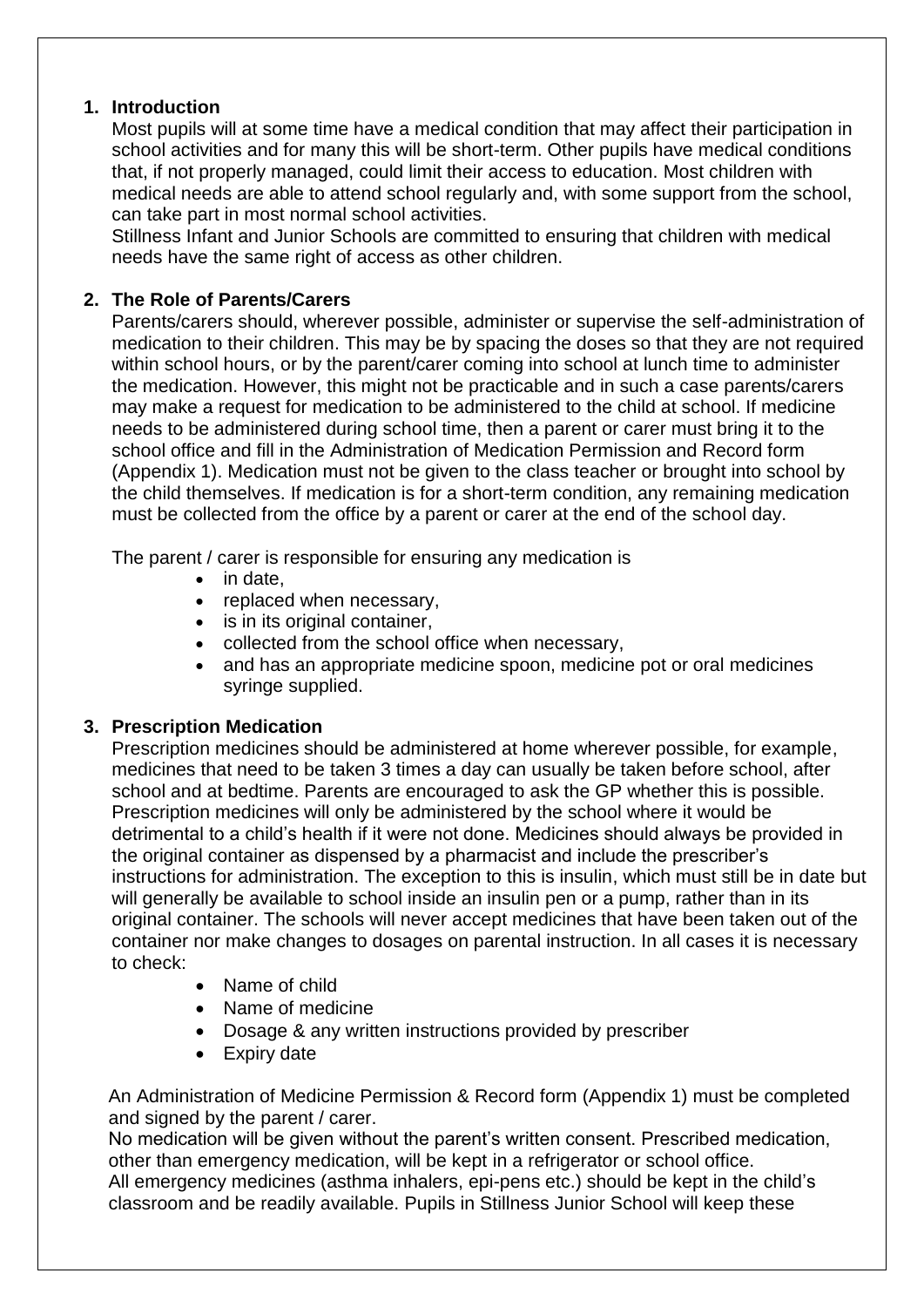### **1. Introduction**

Most pupils will at some time have a medical condition that may affect their participation in school activities and for many this will be short-term. Other pupils have medical conditions that, if not properly managed, could limit their access to education. Most children with medical needs are able to attend school regularly and, with some support from the school, can take part in most normal school activities.

Stillness Infant and Junior Schools are committed to ensuring that children with medical needs have the same right of access as other children.

## **2. The Role of Parents/Carers**

Parents/carers should, wherever possible, administer or supervise the self-administration of medication to their children. This may be by spacing the doses so that they are not required within school hours, or by the parent/carer coming into school at lunch time to administer the medication. However, this might not be practicable and in such a case parents/carers may make a request for medication to be administered to the child at school. If medicine needs to be administered during school time, then a parent or carer must bring it to the school office and fill in the Administration of Medication Permission and Record form (Appendix 1). Medication must not be given to the class teacher or brought into school by the child themselves. If medication is for a short-term condition, any remaining medication must be collected from the office by a parent or carer at the end of the school day.

The parent / carer is responsible for ensuring any medication is

- in date.
- replaced when necessary,
- is in its original container,
- collected from the school office when necessary,
- and has an appropriate medicine spoon, medicine pot or oral medicines syringe supplied.

### **3. Prescription Medication**

Prescription medicines should be administered at home wherever possible, for example, medicines that need to be taken 3 times a day can usually be taken before school, after school and at bedtime. Parents are encouraged to ask the GP whether this is possible. Prescription medicines will only be administered by the school where it would be detrimental to a child's health if it were not done. Medicines should always be provided in the original container as dispensed by a pharmacist and include the prescriber's instructions for administration. The exception to this is insulin, which must still be in date but will generally be available to school inside an insulin pen or a pump, rather than in its original container. The schools will never accept medicines that have been taken out of the container nor make changes to dosages on parental instruction. In all cases it is necessary to check:

- Name of child
- Name of medicine
- Dosage & any written instructions provided by prescriber
- Expiry date

An Administration of Medicine Permission & Record form (Appendix 1) must be completed and signed by the parent / carer.

No medication will be given without the parent's written consent. Prescribed medication, other than emergency medication, will be kept in a refrigerator or school office. All emergency medicines (asthma inhalers, epi-pens etc.) should be kept in the child's classroom and be readily available. Pupils in Stillness Junior School will keep these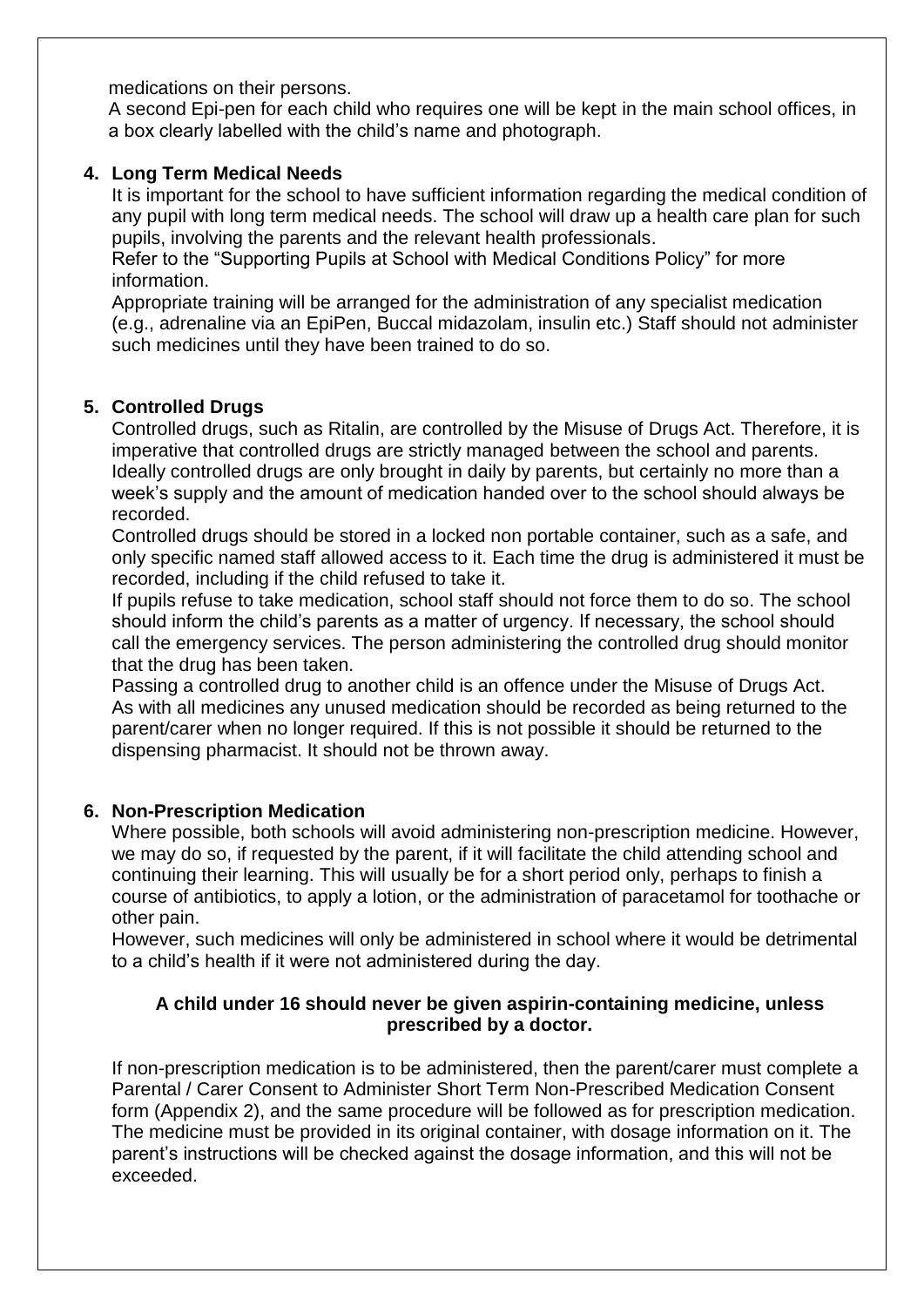medications on their persons.

A second Epi-pen for each child who requires one will be kept in the main school offices, in a box clearly labelled with the child's name and photograph.

#### **4. Long Term Medical Needs**

It is important for the school to have sufficient information regarding the medical condition of any pupil with long term medical needs. The school will draw up a health care plan for such pupils, involving the parents and the relevant health professionals.

Refer to the "Supporting Pupils at School with Medical Conditions Policy" for more information.

Appropriate training will be arranged for the administration of any specialist medication (e.g., adrenaline via an EpiPen, Buccal midazolam, insulin etc.) Staff should not administer such medicines until they have been trained to do so.

#### **5. Controlled Drugs**

Controlled drugs, such as Ritalin, are controlled by the Misuse of Drugs Act. Therefore, it is imperative that controlled drugs are strictly managed between the school and parents. Ideally controlled drugs are only brought in daily by parents, but certainly no more than a week's supply and the amount of medication handed over to the school should always be recorded.

Controlled drugs should be stored in a locked non portable container, such as a safe, and only specific named staff allowed access to it. Each time the drug is administered it must be recorded, including if the child refused to take it.

If pupils refuse to take medication, school staff should not force them to do so. The school should inform the child's parents as a matter of urgency. If necessary, the school should call the emergency services. The person administering the controlled drug should monitor that the drug has been taken.

Passing a controlled drug to another child is an offence under the Misuse of Drugs Act. As with all medicines any unused medication should be recorded as being returned to the parent/carer when no longer required. If this is not possible it should be returned to the dispensing pharmacist. It should not be thrown away.

#### **6. Non-Prescription Medication**

Where possible, both schools will avoid administering non-prescription medicine. However, we may do so, if requested by the parent, if it will facilitate the child attending school and continuing their learning. This will usually be for a short period only, perhaps to finish a course of antibiotics, to apply a lotion, or the administration of paracetamol for toothache or other pain.

However, such medicines will only be administered in school where it would be detrimental to a child's health if it were not administered during the day.

#### **A child under 16 should never be given aspirin-containing medicine, unless prescribed by a doctor.**

If non-prescription medication is to be administered, then the parent/carer must complete a Parental / Carer Consent to Administer Short Term Non-Prescribed Medication Consent form (Appendix 2), and the same procedure will be followed as for prescription medication. The medicine must be provided in its original container, with dosage information on it. The parent's instructions will be checked against the dosage information, and this will not be exceeded.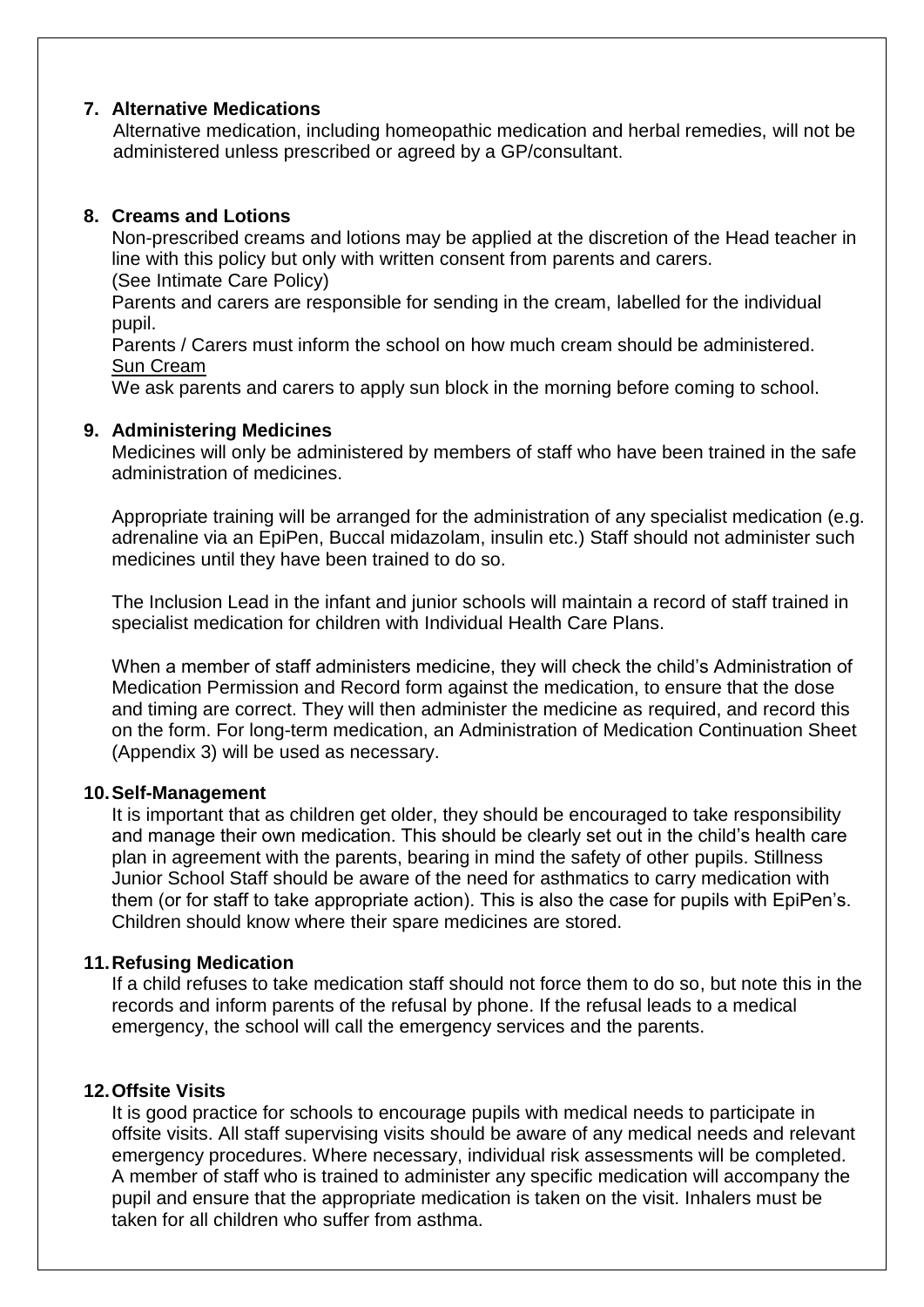#### **7. Alternative Medications**

Alternative medication, including homeopathic medication and herbal remedies, will not be administered unless prescribed or agreed by a GP/consultant.

### **8. Creams and Lotions**

Non-prescribed creams and lotions may be applied at the discretion of the Head teacher in line with this policy but only with written consent from parents and carers.

(See Intimate Care Policy)

Parents and carers are responsible for sending in the cream, labelled for the individual pupil.

Parents / Carers must inform the school on how much cream should be administered. Sun Cream

We ask parents and carers to apply sun block in the morning before coming to school.

#### **9. Administering Medicines**

Medicines will only be administered by members of staff who have been trained in the safe administration of medicines.

Appropriate training will be arranged for the administration of any specialist medication (e.g. adrenaline via an EpiPen, Buccal midazolam, insulin etc.) Staff should not administer such medicines until they have been trained to do so.

The Inclusion Lead in the infant and junior schools will maintain a record of staff trained in specialist medication for children with Individual Health Care Plans.

When a member of staff administers medicine, they will check the child's Administration of Medication Permission and Record form against the medication, to ensure that the dose and timing are correct. They will then administer the medicine as required, and record this on the form. For long-term medication, an Administration of Medication Continuation Sheet (Appendix 3) will be used as necessary.

#### **10.Self-Management**

It is important that as children get older, they should be encouraged to take responsibility and manage their own medication. This should be clearly set out in the child's health care plan in agreement with the parents, bearing in mind the safety of other pupils. Stillness Junior School Staff should be aware of the need for asthmatics to carry medication with them (or for staff to take appropriate action). This is also the case for pupils with EpiPen's. Children should know where their spare medicines are stored.

### **11.Refusing Medication**

If a child refuses to take medication staff should not force them to do so, but note this in the records and inform parents of the refusal by phone. If the refusal leads to a medical emergency, the school will call the emergency services and the parents.

### **12.Offsite Visits**

It is good practice for schools to encourage pupils with medical needs to participate in offsite visits. All staff supervising visits should be aware of any medical needs and relevant emergency procedures. Where necessary, individual risk assessments will be completed. A member of staff who is trained to administer any specific medication will accompany the pupil and ensure that the appropriate medication is taken on the visit. Inhalers must be taken for all children who suffer from asthma.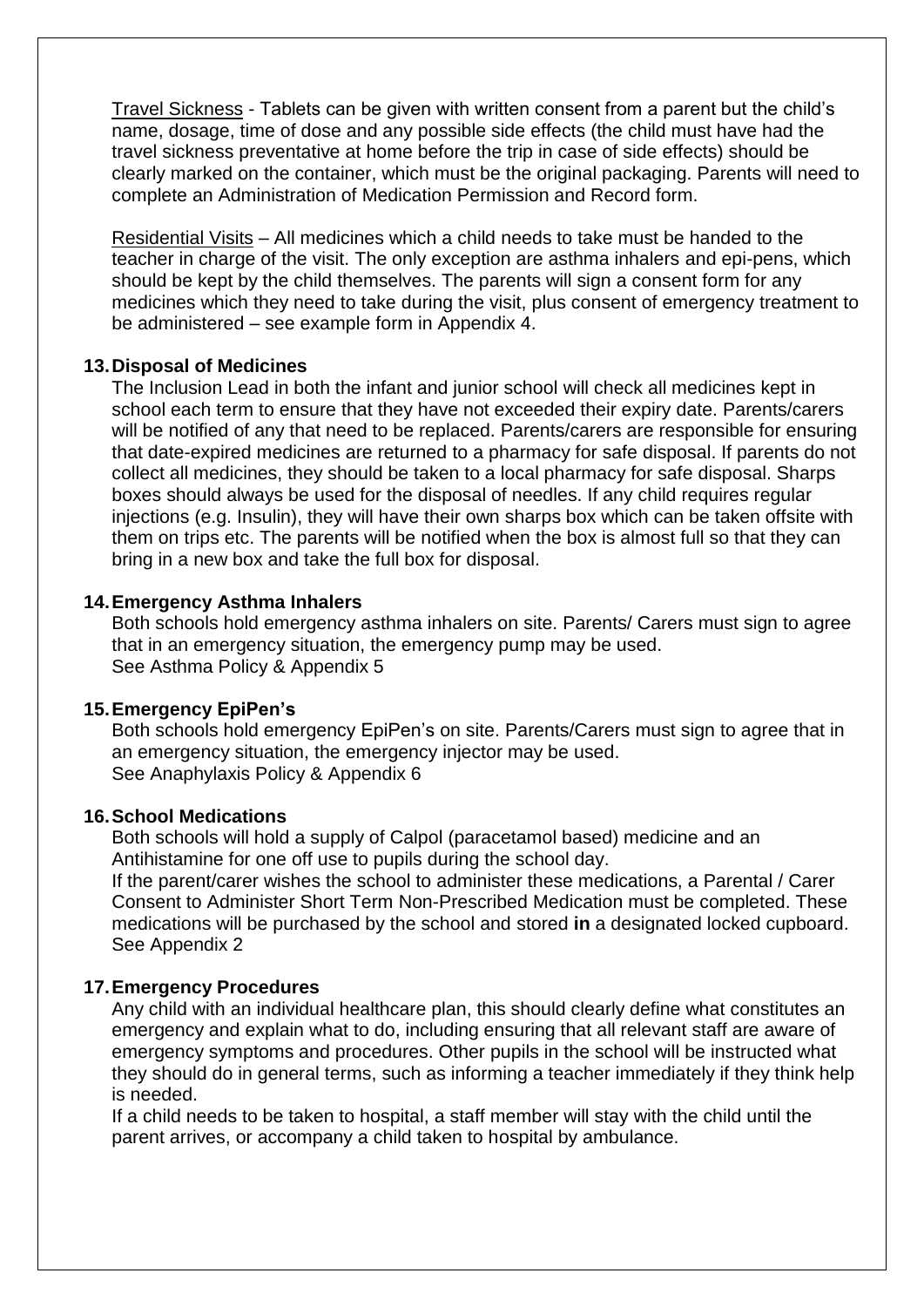Travel Sickness - Tablets can be given with written consent from a parent but the child's name, dosage, time of dose and any possible side effects (the child must have had the travel sickness preventative at home before the trip in case of side effects) should be clearly marked on the container, which must be the original packaging. Parents will need to complete an Administration of Medication Permission and Record form.

Residential Visits – All medicines which a child needs to take must be handed to the teacher in charge of the visit. The only exception are asthma inhalers and epi-pens, which should be kept by the child themselves. The parents will sign a consent form for any medicines which they need to take during the visit, plus consent of emergency treatment to be administered – see example form in Appendix 4.

#### **13.Disposal of Medicines**

The Inclusion Lead in both the infant and junior school will check all medicines kept in school each term to ensure that they have not exceeded their expiry date. Parents/carers will be notified of any that need to be replaced. Parents/carers are responsible for ensuring that date-expired medicines are returned to a pharmacy for safe disposal. If parents do not collect all medicines, they should be taken to a local pharmacy for safe disposal. Sharps boxes should always be used for the disposal of needles. If any child requires regular injections (e.g. Insulin), they will have their own sharps box which can be taken offsite with them on trips etc. The parents will be notified when the box is almost full so that they can bring in a new box and take the full box for disposal.

#### **14.Emergency Asthma Inhalers**

Both schools hold emergency asthma inhalers on site. Parents/ Carers must sign to agree that in an emergency situation, the emergency pump may be used. See Asthma Policy & Appendix 5

#### **15.Emergency EpiPen's**

Both schools hold emergency EpiPen's on site. Parents/Carers must sign to agree that in an emergency situation, the emergency injector may be used. See Anaphylaxis Policy & Appendix 6

#### **16.School Medications**

Both schools will hold a supply of Calpol (paracetamol based) medicine and an Antihistamine for one off use to pupils during the school day.

If the parent/carer wishes the school to administer these medications, a Parental / Carer Consent to Administer Short Term Non-Prescribed Medication must be completed. These medications will be purchased by the school and stored **in** a designated locked cupboard. See Appendix 2

#### **17.Emergency Procedures**

Any child with an individual healthcare plan, this should clearly define what constitutes an emergency and explain what to do, including ensuring that all relevant staff are aware of emergency symptoms and procedures. Other pupils in the school will be instructed what they should do in general terms, such as informing a teacher immediately if they think help is needed.

If a child needs to be taken to hospital, a staff member will stay with the child until the parent arrives, or accompany a child taken to hospital by ambulance.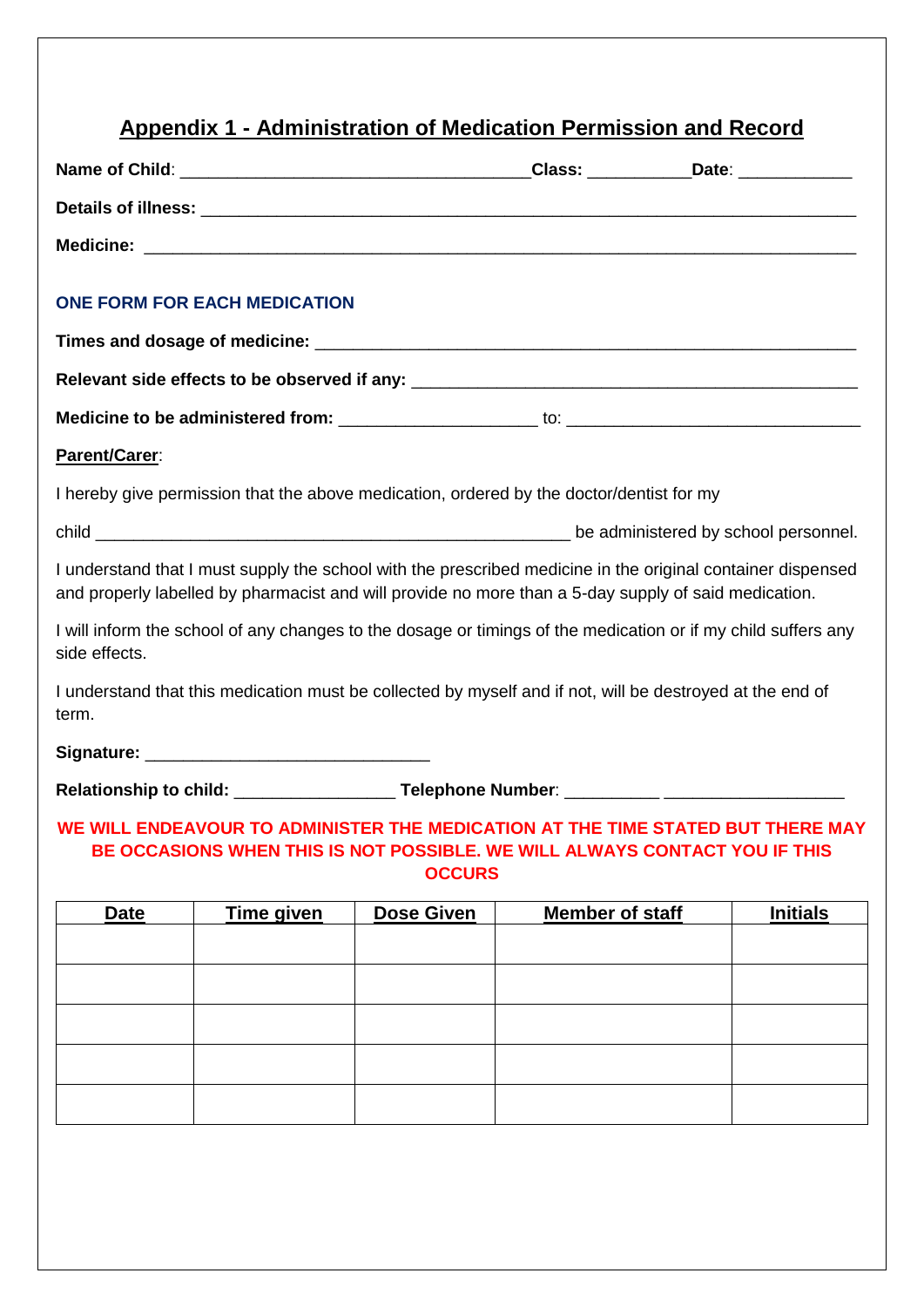# **Appendix 1 - Administration of Medication Permission and Record**

|                                                                                                                                                                                                                     | _Class: ______________Date: _____________ |
|---------------------------------------------------------------------------------------------------------------------------------------------------------------------------------------------------------------------|-------------------------------------------|
|                                                                                                                                                                                                                     |                                           |
|                                                                                                                                                                                                                     |                                           |
| <b>ONE FORM FOR EACH MEDICATION</b>                                                                                                                                                                                 |                                           |
|                                                                                                                                                                                                                     |                                           |
|                                                                                                                                                                                                                     |                                           |
|                                                                                                                                                                                                                     |                                           |
| Parent/Carer:                                                                                                                                                                                                       |                                           |
| I hereby give permission that the above medication, ordered by the doctor/dentist for my                                                                                                                            |                                           |
|                                                                                                                                                                                                                     |                                           |
| I understand that I must supply the school with the prescribed medicine in the original container dispensed<br>and properly labelled by pharmacist and will provide no more than a 5-day supply of said medication. |                                           |
| I will inform the school of any changes to the dosage or timings of the medication or if my child suffers any<br>side effects.                                                                                      |                                           |
| I understand that this medication must be collected by myself and if not, will be destroyed at the end of<br>term.                                                                                                  |                                           |
|                                                                                                                                                                                                                     |                                           |
|                                                                                                                                                                                                                     |                                           |
| WE WILL ENDEAVOUR TO ADMINISTER THE MEDICATION AT THE TIME STATED BUT THERE MAY<br>BE OCCASIONS WHEN THIS IS NOT POSSIBLE. WE WILL ALWAYS CONTACT YOU IF THIS                                                       |                                           |

**OCCURS**

| <b>Date</b> | Time given | <b>Dose Given</b> | <b>Member of staff</b> | <b>Initials</b> |
|-------------|------------|-------------------|------------------------|-----------------|
|             |            |                   |                        |                 |
|             |            |                   |                        |                 |
|             |            |                   |                        |                 |
|             |            |                   |                        |                 |
|             |            |                   |                        |                 |
|             |            |                   |                        |                 |
|             |            |                   |                        |                 |
|             |            |                   |                        |                 |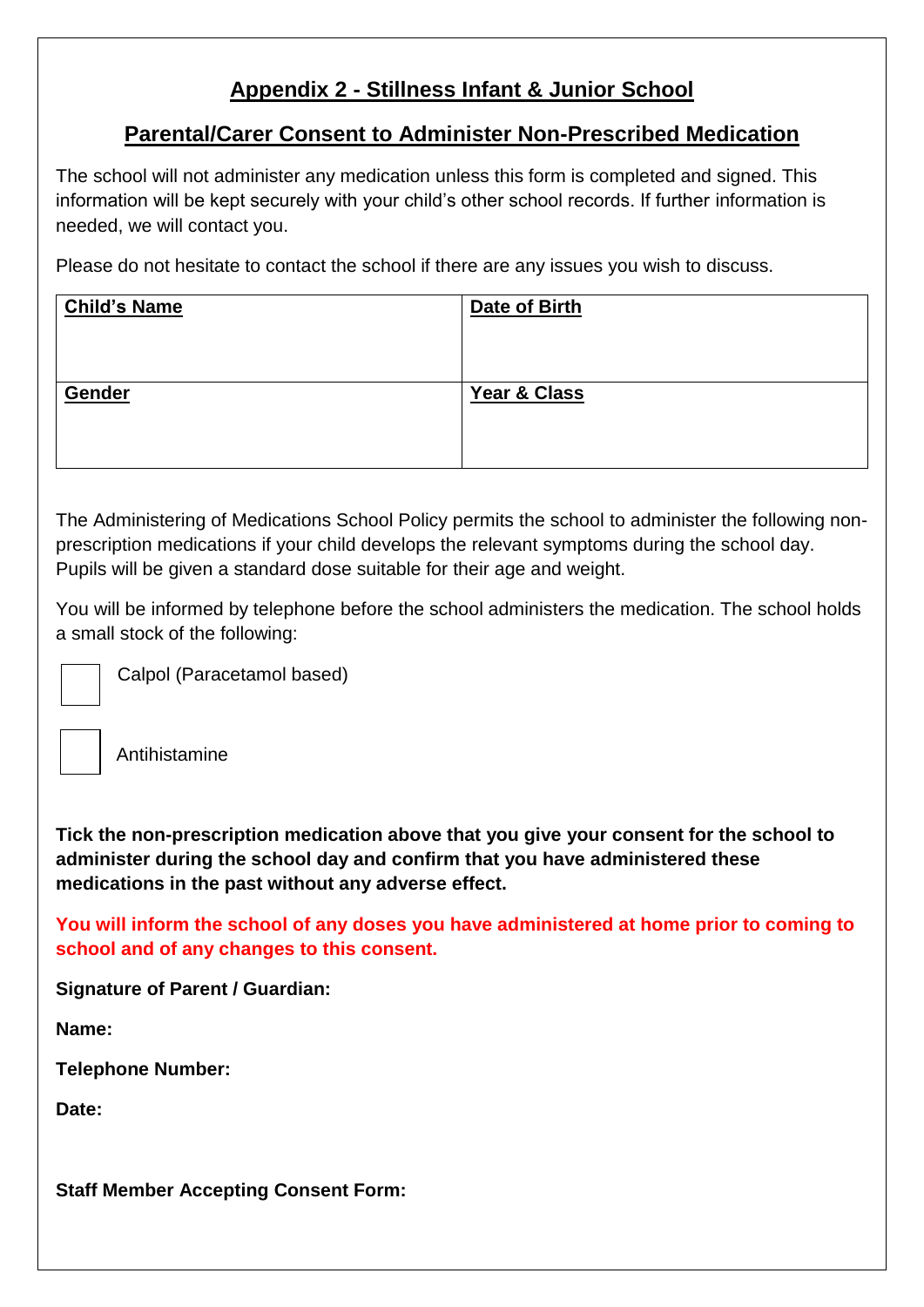# **Appendix 2 - Stillness Infant & Junior School**

## **Parental/Carer Consent to Administer Non-Prescribed Medication**

The school will not administer any medication unless this form is completed and signed. This information will be kept securely with your child's other school records. If further information is needed, we will contact you.

Please do not hesitate to contact the school if there are any issues you wish to discuss.

| <b>Child's Name</b> | Date of Birth |
|---------------------|---------------|
| Gender              | Year & Class  |

The Administering of Medications School Policy permits the school to administer the following nonprescription medications if your child develops the relevant symptoms during the school day. Pupils will be given a standard dose suitable for their age and weight.

You will be informed by telephone before the school administers the medication. The school holds a small stock of the following:



Calpol (Paracetamol based)

Antihistamine

**Tick the non-prescription medication above that you give your consent for the school to administer during the school day and confirm that you have administered these medications in the past without any adverse effect.** 

**You will inform the school of any doses you have administered at home prior to coming to school and of any changes to this consent.**

**Signature of Parent / Guardian:**

**Name:**

**Telephone Number:**

**Date:**

**Staff Member Accepting Consent Form:**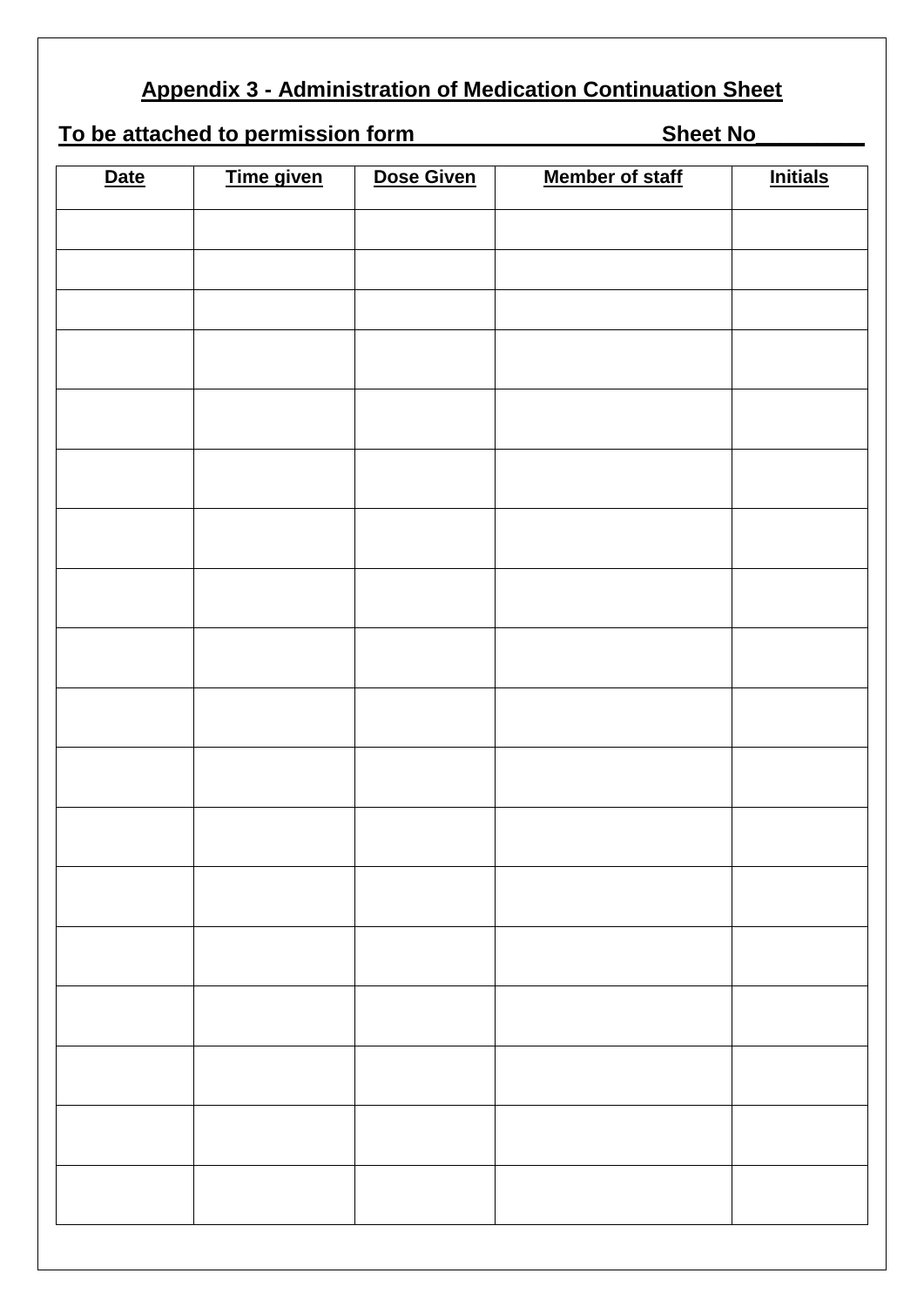# **Appendix 3 - Administration of Medication Continuation Sheet**

# **To be attached to permission form Sheet No\_\_\_\_\_\_\_\_\_**

| <b>Date</b> | <b>Time given</b> | Dose Given | <b>Member of staff</b> | <b>Initials</b> |
|-------------|-------------------|------------|------------------------|-----------------|
|             |                   |            |                        |                 |
|             |                   |            |                        |                 |
|             |                   |            |                        |                 |
|             |                   |            |                        |                 |
|             |                   |            |                        |                 |
|             |                   |            |                        |                 |
|             |                   |            |                        |                 |
|             |                   |            |                        |                 |
|             |                   |            |                        |                 |
|             |                   |            |                        |                 |
|             |                   |            |                        |                 |
|             |                   |            |                        |                 |
|             |                   |            |                        |                 |
|             |                   |            |                        |                 |
|             |                   |            |                        |                 |
|             |                   |            |                        |                 |
|             |                   |            |                        |                 |
|             |                   |            |                        |                 |
|             |                   |            |                        |                 |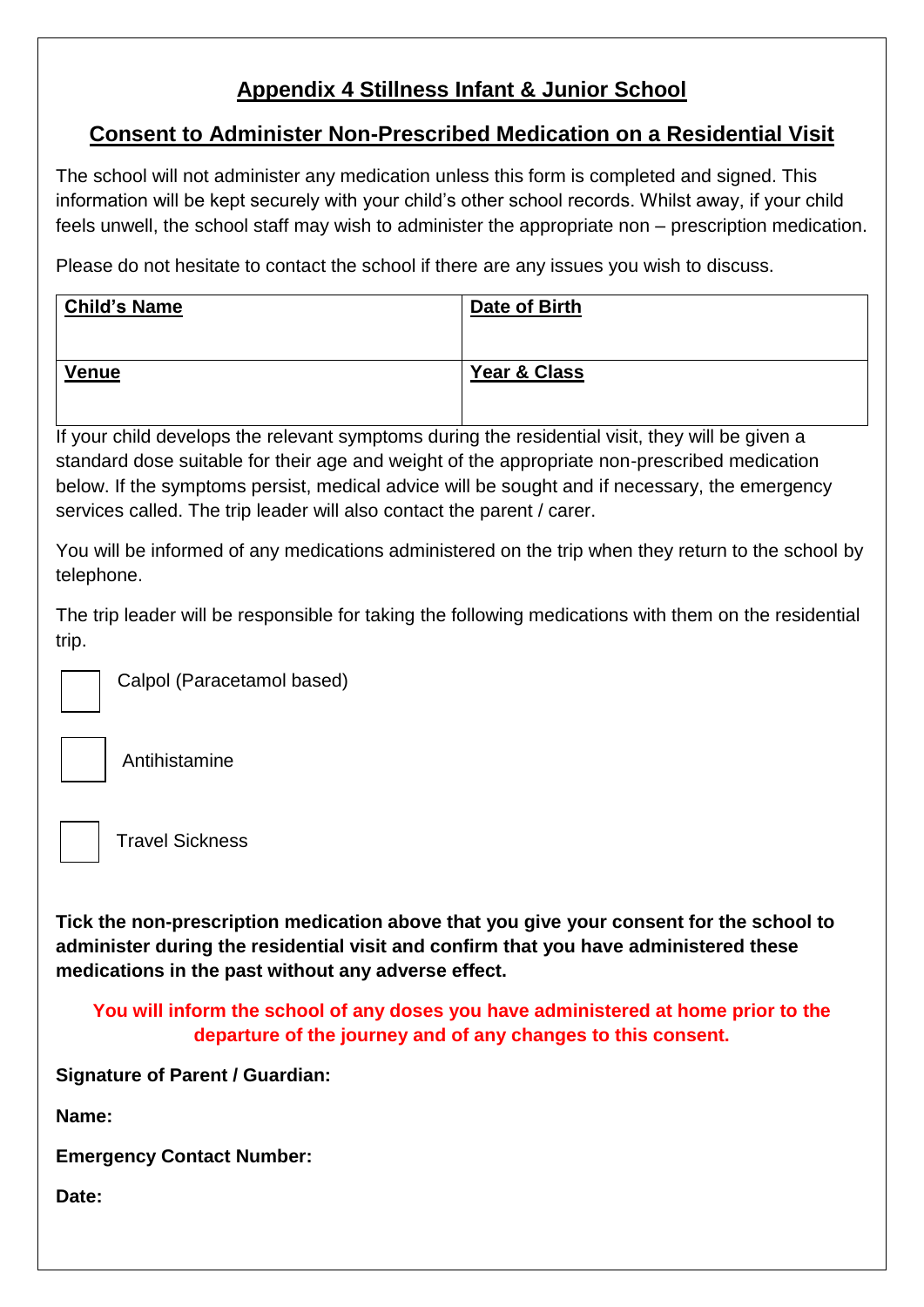# **Appendix 4 Stillness Infant & Junior School**

# **Consent to Administer Non-Prescribed Medication on a Residential Visit**

The school will not administer any medication unless this form is completed and signed. This information will be kept securely with your child's other school records. Whilst away, if your child feels unwell, the school staff may wish to administer the appropriate non – prescription medication.

Please do not hesitate to contact the school if there are any issues you wish to discuss.

| <b>Child's Name</b> | Date of Birth |
|---------------------|---------------|
| <b>Venue</b>        | Year & Class  |

If your child develops the relevant symptoms during the residential visit, they will be given a standard dose suitable for their age and weight of the appropriate non-prescribed medication below. If the symptoms persist, medical advice will be sought and if necessary, the emergency services called. The trip leader will also contact the parent / carer.

You will be informed of any medications administered on the trip when they return to the school by telephone.

The trip leader will be responsible for taking the following medications with them on the residential trip.



Calpol (Paracetamol based)



Antihistamine

Travel Sickness

**Tick the non-prescription medication above that you give your consent for the school to administer during the residential visit and confirm that you have administered these medications in the past without any adverse effect.** 

**You will inform the school of any doses you have administered at home prior to the departure of the journey and of any changes to this consent.**

**Signature of Parent / Guardian:**

**Name:**

**Emergency Contact Number:** 

**Date:**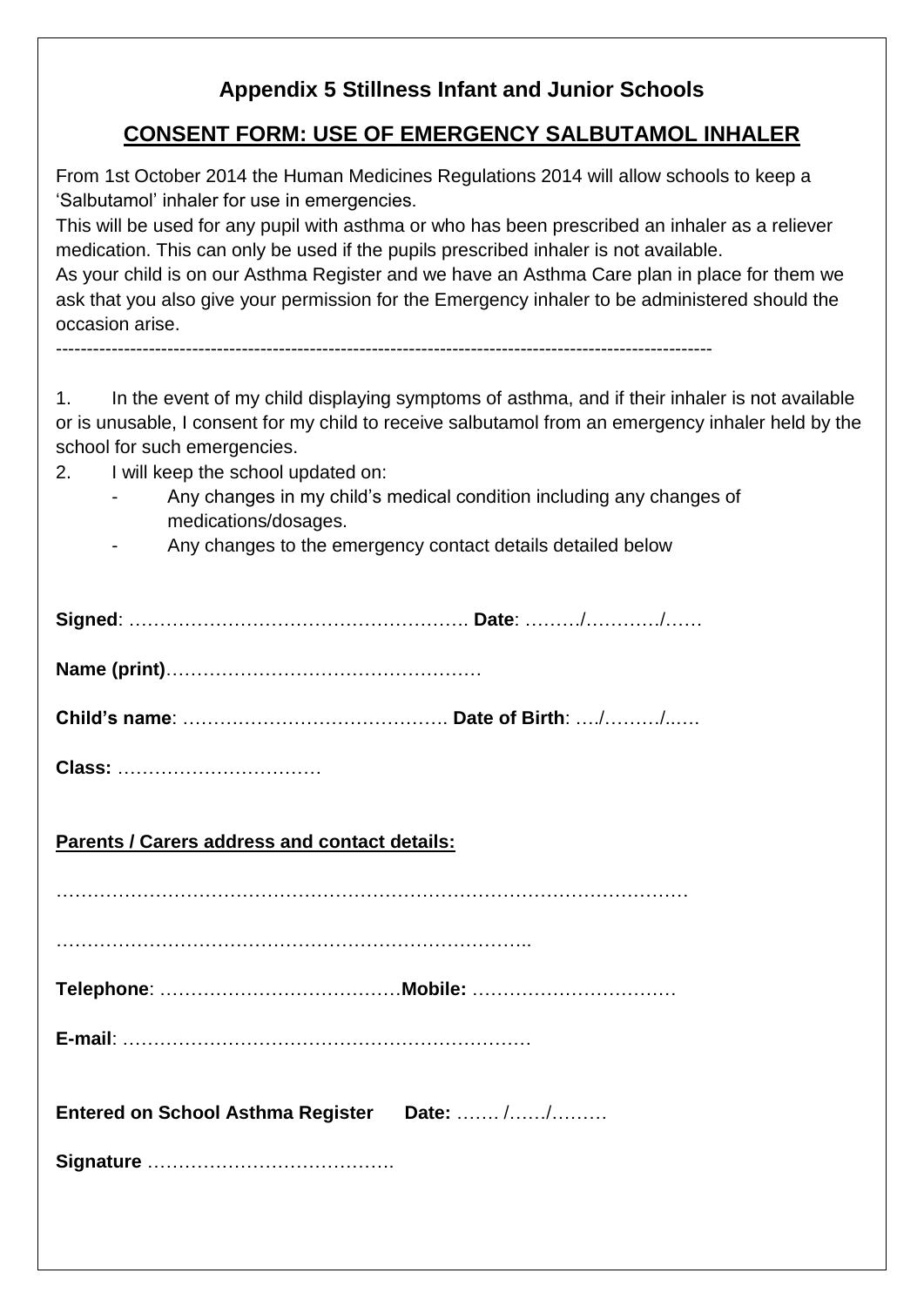# **Appendix 5 Stillness Infant and Junior Schools**

# **CONSENT FORM: USE OF EMERGENCY SALBUTAMOL INHALER**

From 1st October 2014 the Human Medicines Regulations 2014 will allow schools to keep a 'Salbutamol' inhaler for use in emergencies.

This will be used for any pupil with asthma or who has been prescribed an inhaler as a reliever medication. This can only be used if the pupils prescribed inhaler is not available.

As your child is on our Asthma Register and we have an Asthma Care plan in place for them we ask that you also give your permission for the Emergency inhaler to be administered should the occasion arise.

----------------------------------------------------------------------------------------------------------

1. In the event of my child displaying symptoms of asthma, and if their inhaler is not available or is unusable, I consent for my child to receive salbutamol from an emergency inhaler held by the school for such emergencies.

- 2. I will keep the school updated on:
	- Any changes in my child's medical condition including any changes of medications/dosages.
	- Any changes to the emergency contact details detailed below

| Parents / Carers address and contact details: |  |
|-----------------------------------------------|--|
|                                               |  |
|                                               |  |
| Entered on School Asthma Register Date: //    |  |
|                                               |  |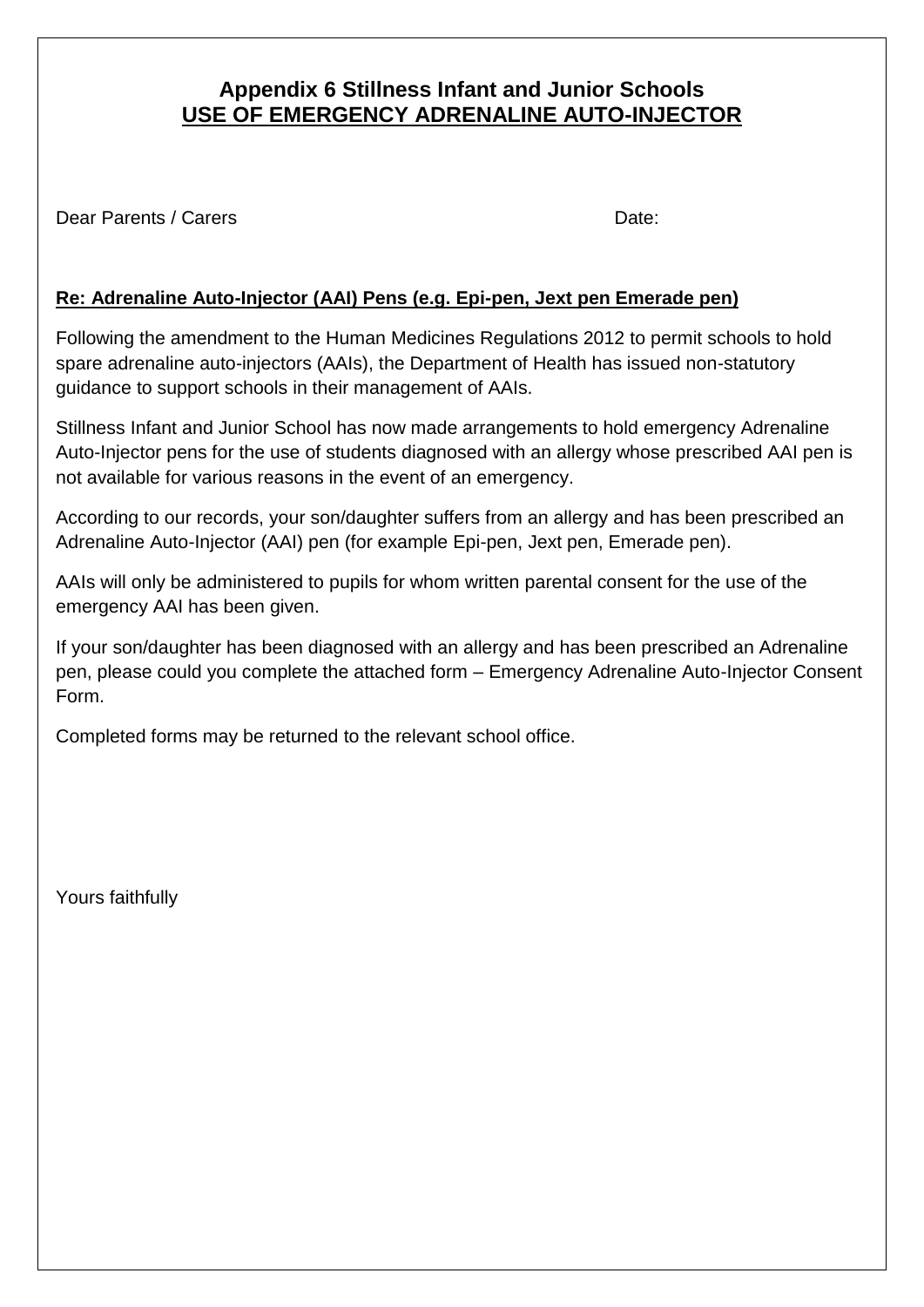# **Appendix 6 Stillness Infant and Junior Schools USE OF EMERGENCY ADRENALINE AUTO-INJECTOR**

Dear Parents / Carers Date: **Date:** Date: **Date:** Date: **Date: Date: Date: Date: Date: Date: Date: Date: Date: Date: Date: Date: Date: Date: Date: Date: Date: Date: Date: Date: Date:** 

## **Re: Adrenaline Auto-Injector (AAI) Pens (e.g. Epi-pen, Jext pen Emerade pen)**

Following the amendment to the Human Medicines Regulations 2012 to permit schools to hold spare adrenaline auto-injectors (AAIs), the Department of Health has issued non-statutory guidance to support schools in their management of AAIs.

Stillness Infant and Junior School has now made arrangements to hold emergency Adrenaline Auto-Injector pens for the use of students diagnosed with an allergy whose prescribed AAI pen is not available for various reasons in the event of an emergency.

According to our records, your son/daughter suffers from an allergy and has been prescribed an Adrenaline Auto-Injector (AAI) pen (for example Epi-pen, Jext pen, Emerade pen).

AAIs will only be administered to pupils for whom written parental consent for the use of the emergency AAI has been given.

If your son/daughter has been diagnosed with an allergy and has been prescribed an Adrenaline pen, please could you complete the attached form – Emergency Adrenaline Auto-Injector Consent Form.

Completed forms may be returned to the relevant school office.

Yours faithfully